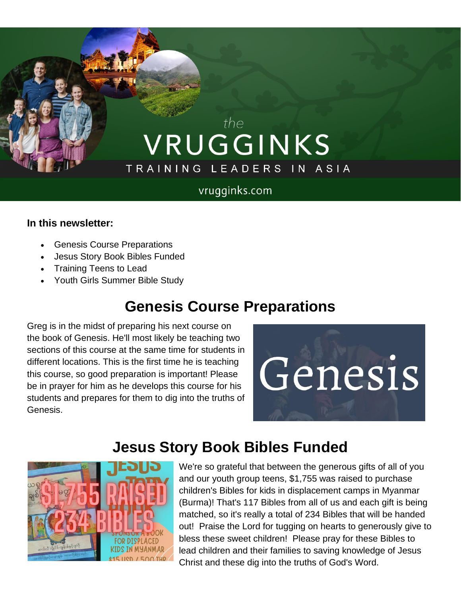# the VRUGGINKS TRAINING LEADERS IN ASIA

#### vrugginks.com

#### **In this newsletter:**

- Genesis Course Preparations
- Jesus Story Book Bibles Funded
- Training Teens to Lead
- Youth Girls Summer Bible Study

## **Genesis Course Preparations**

Greg is in the midst of preparing his next course on the book of Genesis. He'll most likely be teaching two sections of this course at the same time for students in different locations. This is the first time he is teaching this course, so good preparation is important! Please be in prayer for him as he develops this course for his students and prepares for them to dig into the truths of Genesis.



## **Jesus Story Book Bibles Funded**



We're so grateful that between the generous gifts of all of you and our youth group teens, \$1,755 was raised to purchase children's Bibles for kids in displacement camps in Myanmar (Burma)! That's 117 Bibles from all of us and each gift is being matched, so it's really a total of 234 Bibles that will be handed out! Praise the Lord for tugging on hearts to generously give to bless these sweet children! Please pray for these Bibles to lead children and their families to saving knowledge of Jesus Christ and these dig into the truths of God's Word.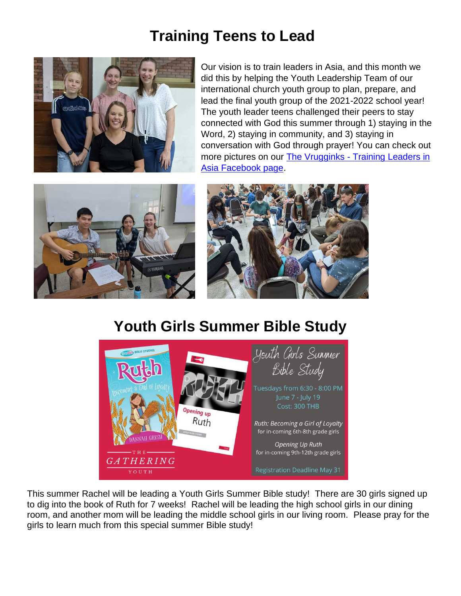#### **Training Teens to Lead**



Our vision is to train leaders in Asia, and this month we did this by helping the Youth Leadership Team of our international church youth group to plan, prepare, and lead the final youth group of the 2021-2022 school year! The youth leader teens challenged their peers to stay connected with God this summer through 1) staying in the Word, 2) staying in community, and 3) staying in conversation with God through prayer! You can check out more pictures on our The Vrugginks - Training Leaders in [Asia Facebook page.](https://www.facebook.com/thevrugginks)





#### **Youth Girls Summer Bible Study**



This summer Rachel will be leading a Youth Girls Summer Bible study! There are 30 girls signed up to dig into the book of Ruth for 7 weeks! Rachel will be leading the high school girls in our dining room, and another mom will be leading the middle school girls in our living room. Please pray for the girls to learn much from this special summer Bible study!